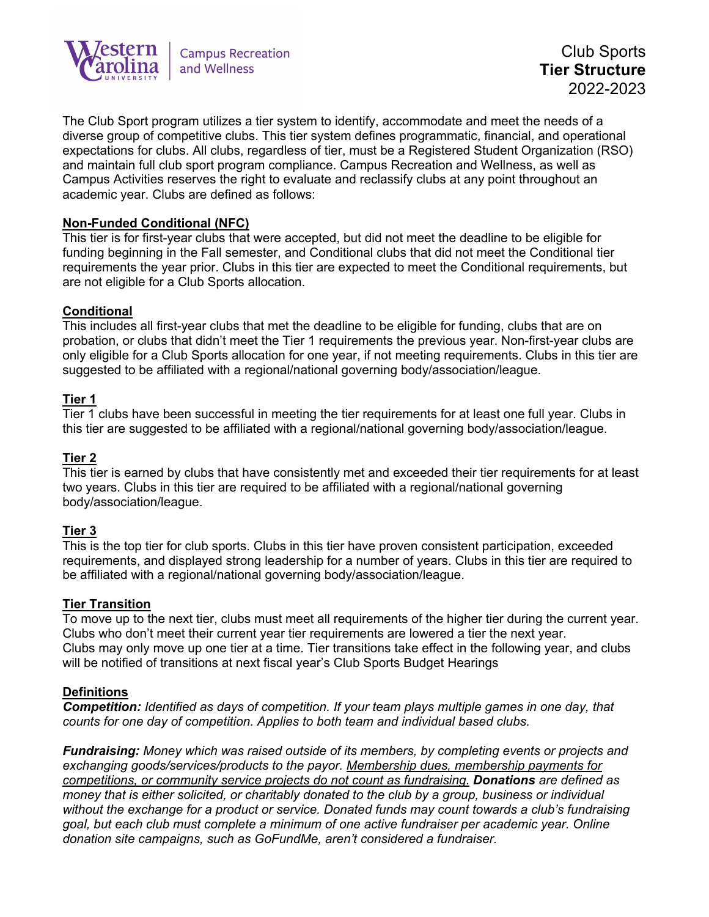

The Club Sport program utilizes a tier system to identify, accommodate and meet the needs of a diverse group of competitive clubs. This tier system defines programmatic, financial, and operational expectations for clubs. All clubs, regardless of tier, must be a Registered Student Organization (RSO) and maintain full club sport program compliance. Campus Recreation and Wellness, as well as Campus Activities reserves the right to evaluate and reclassify clubs at any point throughout an academic year. Clubs are defined as follows:

## **Non-Funded Conditional (NFC)**

This tier is for first-year clubs that were accepted, but did not meet the deadline to be eligible for funding beginning in the Fall semester, and Conditional clubs that did not meet the Conditional tier requirements the year prior. Clubs in this tier are expected to meet the Conditional requirements, but are not eligible for a Club Sports allocation.

## **Conditional**

This includes all first-year clubs that met the deadline to be eligible for funding, clubs that are on probation, or clubs that didn't meet the Tier 1 requirements the previous year. Non-first-year clubs are only eligible for a Club Sports allocation for one year, if not meeting requirements. Clubs in this tier are suggested to be affiliated with a regional/national governing body/association/league.

## **Tier 1**

Tier 1 clubs have been successful in meeting the tier requirements for at least one full year. Clubs in this tier are suggested to be affiliated with a regional/national governing body/association/league.

## **Tier 2**

This tier is earned by clubs that have consistently met and exceeded their tier requirements for at least two years. Clubs in this tier are required to be affiliated with a regional/national governing body/association/league.

#### **Tier 3**

This is the top tier for club sports. Clubs in this tier have proven consistent participation, exceeded requirements, and displayed strong leadership for a number of years. Clubs in this tier are required to be affiliated with a regional/national governing body/association/league.

#### **Tier Transition**

To move up to the next tier, clubs must meet all requirements of the higher tier during the current year. Clubs who don't meet their current year tier requirements are lowered a tier the next year. Clubs may only move up one tier at a time. Tier transitions take effect in the following year, and clubs will be notified of transitions at next fiscal year's Club Sports Budget Hearings

#### **Definitions**

*Competition: Identified as days of competition. If your team plays multiple games in one day, that counts for one day of competition. Applies to both team and individual based clubs.*

*Fundraising: Money which was raised outside of its members, by completing events or projects and exchanging goods/services/products to the payor. Membership dues, membership payments for competitions, or community service projects do not count as fundraising. Donations are defined as money that is either solicited, or charitably donated to the club by a group, business or individual without the exchange for a product or service. Donated funds may count towards a club's fundraising goal, but each club must complete a minimum of one active fundraiser per academic year. Online donation site campaigns, such as GoFundMe, aren't considered a fundraiser.*